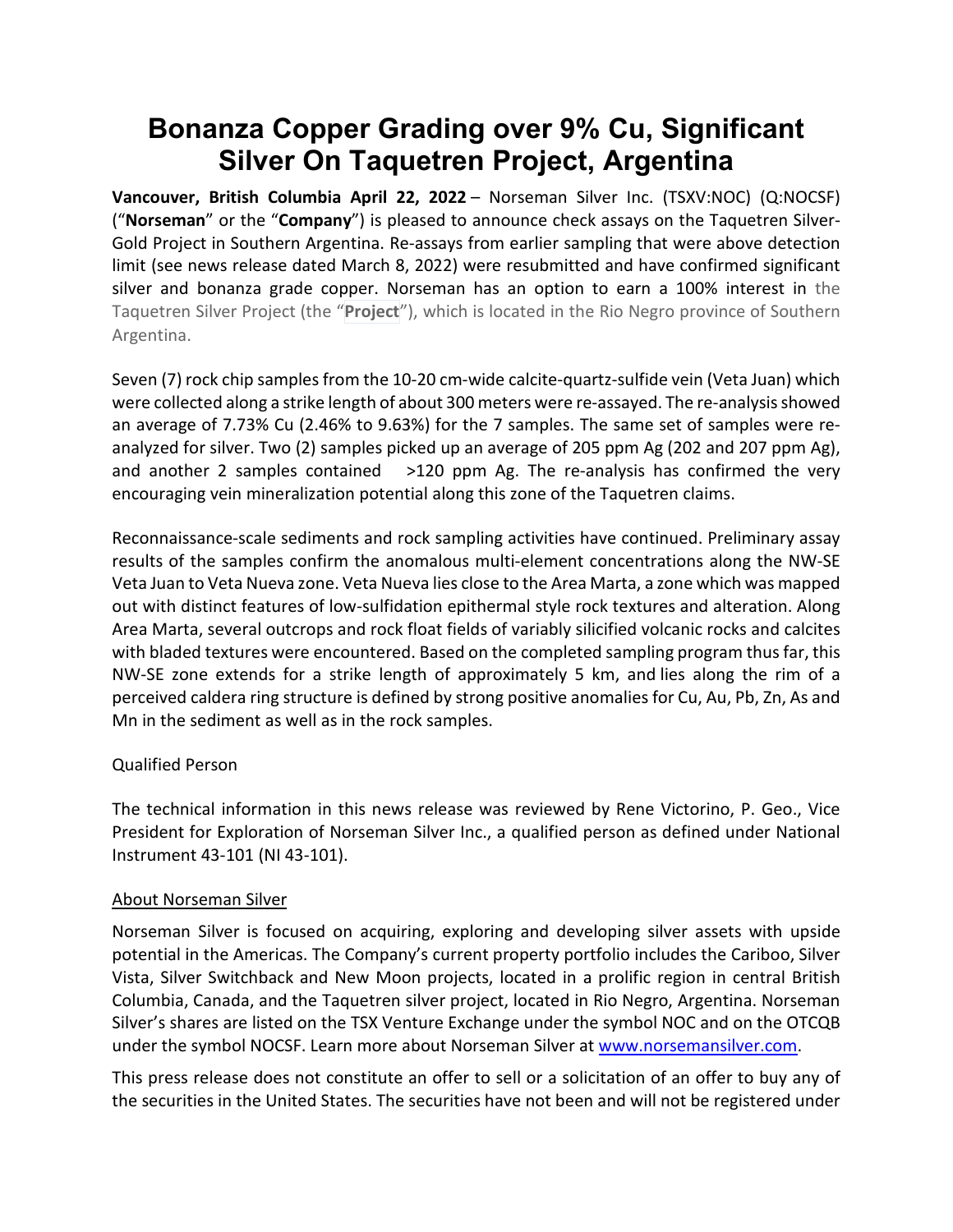# **Bonanza Copper Grading over 9% Cu, Significant Silver On Taquetren Project, Argentina**

**Vancouver, British Columbia April 22, 2022** – Norseman Silver Inc. (TSXV:NOC) (Q:NOCSF) ("**Norseman**" or the "**Company**") is pleased to announce check assays on the Taquetren Silver-Gold Project in Southern Argentina. Re-assays from earlier sampling that were above detection limit (see news release dated March 8, 2022) were resubmitted and have confirmed significant silver and bonanza grade copper. Norseman has an option to earn a 100% interest in the Taquetren Silver Project (the "**Project**"), which is located in the Rio Negro province of Southern Argentina.

Seven (7) rock chip samples from the 10-20 cm-wide calcite-quartz-sulfide vein (Veta Juan) which were collected along a strike length of about 300 meters were re-assayed. The re-analysis showed an average of 7.73% Cu (2.46% to 9.63%) for the 7 samples. The same set of samples were reanalyzed for silver. Two (2) samples picked up an average of 205 ppm Ag (202 and 207 ppm Ag), and another 2 samples contained  $>120$  ppm Ag. The re-analysis has confirmed the very encouraging vein mineralization potential along this zone of the Taquetren claims.

Reconnaissance-scale sediments and rock sampling activities have continued. Preliminary assay results of the samples confirm the anomalous multi-element concentrations along the NW-SE Veta Juan to Veta Nueva zone. Veta Nueva lies close to the Area Marta, a zone which was mapped out with distinct features of low-sulfidation epithermal style rock textures and alteration. Along Area Marta, several outcrops and rock float fields of variably silicified volcanic rocks and calcites with bladed textures were encountered. Based on the completed sampling program thus far, this NW-SE zone extends for a strike length of approximately 5 km, and lies along the rim of a perceived caldera ring structure is defined by strong positive anomalies for Cu, Au, Pb, Zn, As and Mn in the sediment as well as in the rock samples.

## Qualified Person

The technical information in this news release was reviewed by Rene Victorino, P. Geo., Vice President for Exploration of Norseman Silver Inc., a qualified person as defined under National Instrument 43-101 (NI 43-101).

## About Norseman Silver

Norseman Silver is focused on acquiring, exploring and developing silver assets with upside potential in the Americas. The Company's current property portfolio includes the Cariboo, Silver Vista, Silver Switchback and New Moon projects, located in a prolific region in central British Columbia, Canada, and the Taquetren silver project, located in Rio Negro, Argentina. Norseman Silver's shares are listed on the TSX Venture Exchange under the symbol NOC and on the OTCQB under the symbol NOCSF. Learn more about Norseman Silver at [www.norsemansilver.com.](http://www.norsemansilver.com/)

This press release does not constitute an offer to sell or a solicitation of an offer to buy any of the securities in the United States. The securities have not been and will not be registered under